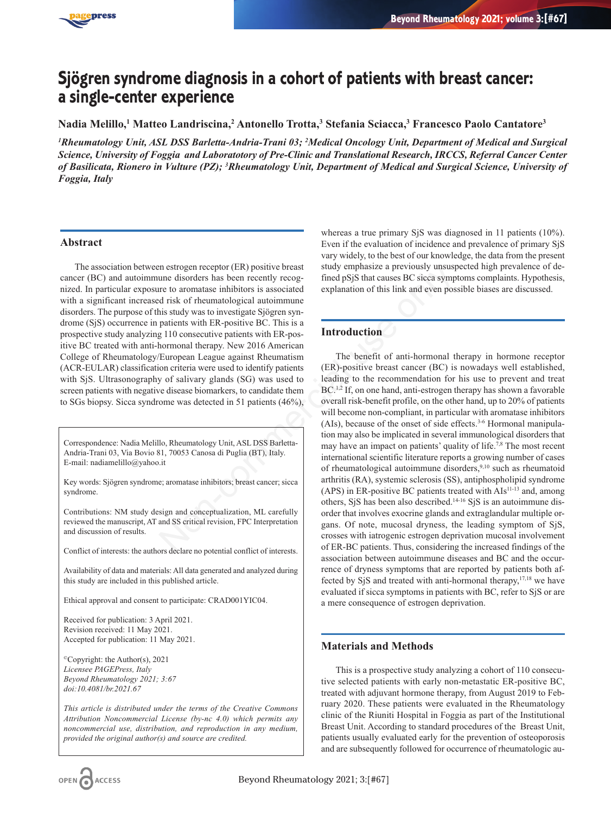

# **Sjögren syndrome diagnosis in a cohort of patients with breast cancer: a single-center experience**

**Nadia Melillo,1 Matteo Landriscina,2 Antonello Trotta,3 Stefania Sciacca,3 Francesco Paolo Cantatore3**

*1 Rheumatology Unit, ASL DSS Barletta-Andria-Trani 03; 2 Medical Oncology Unit, Department of Medical and Surgical Science, University of Foggia and Laboratotory of Pre-Clinic and Translational Research, IRCCS, Referral Cancer Center of Basilicata, Rionero in Vulture (PZ); 3 Rheumatology Unit, Department of Medical and Surgical Science, University of Foggia, Italy*

## **Abstract**

The association between estrogen receptor (ER) positive breast cancer (BC) and autoimmune disorders has been recently recognized. In particular exposure to aromatase inhibitors is associated with a significant increased risk of rheumatological autoimmune disorders. The purpose of this study was to investigate Sjögren syndrome (SjS) occurrence in patients with ER-positive BC. This is a prospective study analyzing 110 consecutive patients with ER-positive BC treated with anti-hormonal therapy. New 2016 American College of Rheumatology/European League against Rheumatism (ACR-EULAR) classification criteria were used to identify patients with SjS. Ultrasonography of salivary glands (SG) was used to screen patients with negative disease biomarkers, to candidate them to SGs biopsy. Sicca syndrome was detected in 51 patients (46%),

Correspondence: Nadia Melillo, Rheumatology Unit, ASL DSS Barletta-Andria-Trani 03, Via Bovio 81, 70053 Canosa di Puglia (BT), Italy. E-mail: nadiamelillo@yahoo.it

Key words: Sjögren syndrome; aromatase inhibitors; breast cancer; sicca syndrome.

Contributions: NM study design and conceptualization, ML carefully reviewed the manuscript, AT and SS critical revision, FPC Interpretation and discussion of results.

Conflict of interests: the authors declare no potential conflict of interests.

Availability of data and materials: All data generated and analyzed during this study are included in this published article.

Ethical approval and consent to participate: CRAD001YIC04.

Received for publication: 3 April 2021. Revision received: 11 May 2021. Accepted for publication: 11 May 2021.

©Copyright: the Author(s), 2021 *Licensee PAGEPress, Italy Beyond Rheumatology 2021; 3:67 doi:10.4081/br.2021.67*

*This article is distributed under the terms of the Creative Commons Attribution Noncommercial License (by-nc 4.0) which permits any noncommercial use, distribution, and reproduction in any medium, provided the original author(s) and source are credited.*

whereas a true primary SiS was diagnosed in 11 patients (10%). Even if the evaluation of incidence and prevalence of primary SjS vary widely, to the best of our knowledge, the data from the present study emphasize a previously unsuspected high prevalence of defined pSjS that causes BC sicca symptoms complaints. Hypothesis, explanation of this link and even possible biases are discussed.

## **Introduction**

The benefit of anti-hormonal therapy in hormone receptor (ER)-positive breast cancer (BC) is nowadays well established, leading to the recommendation for his use to prevent and treat BC.<sup>1,2</sup> If, on one hand, anti-estrogen therapy has shown a favorable overall risk-benefit profile, on the other hand, up to 20% of patients will become non-compliant, in particular with aromatase inhibitors (AIs), because of the onset of side effects. $3-6$  Hormonal manipulation may also be implicated in several immunological disorders that may have an impact on patients' quality of life.7,8 The most recent international scientific literature reports a growing number of cases of rheumatological autoimmune disorders,<sup>9,10</sup> such as rheumatoid arthritis (RA), systemic sclerosis (SS), antiphospholipid syndrome (APS) in ER-positive BC patients treated with  $\text{AIs}^{\{1\}-13}$  and, among others, SjS has been also described.14-16 SjS is an autoimmune disorder that involves exocrine glands and extraglandular multiple organs. Of note, mucosal dryness, the leading symptom of SjS, crosses with iatrogenic estrogen deprivation mucosal involvement of ER-BC patients. Thus, considering the increased findings of the association between autoimmune diseases and BC and the occurrence of dryness symptoms that are reported by patients both affected by SjS and treated with anti-hormonal therapy,17,18 we have evaluated if sicca symptoms in patients with BC, refer to SjS or are a mere consequence of estrogen deprivation. The state of the mean disorder and conceptives of the same endoted by reading that consists are the commatase inhibitors is associated<br>
are to aromatase inhibitors is associated<br>
particular explanation of this link and ev

## **Materials and Methods**

This is a prospective study analyzing a cohort of 110 consecutive selected patients with early non-metastatic ER-positive BC, treated with adjuvant hormone therapy, from August 2019 to February 2020. These patients were evaluated in the Rheumatology clinic of the Riuniti Hospital in Foggia as part of the Institutional Breast Unit. According to standard procedures of the Breast Unit, patients usually evaluated early for the prevention of osteoporosis and are subsequently followed for occurrence of rheumatologic au-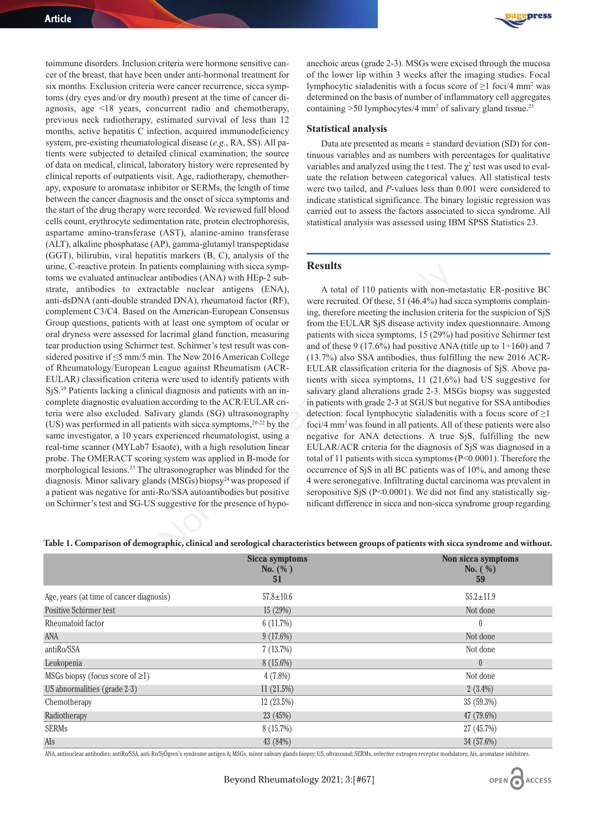toimmune disorders. Inclusion criteria were hormone sensitive cancer of the breast, that have been under anti-hormonal treatment for six months. Exclusion criteria were cancer recurrence, sicca symptoms (dry eyes and/or dry mouth) present at the time of cancer diagnosis, age <18 years, concurrent radio and chemotherapy, previous neck radiotherapy, estimated survival of less than 12 months, active hepatitis C infection, acquired immunodeficiency system, pre-existing rheumatological disease (*e.g.*, RA, SS). All patients were subjected to detailed clinical examination; the source of data on medical, clinical, laboratory history were represented by clinical reports of outpatients visit. Age, radiotherapy, chemotherapy, exposure to aromatase inhibitor or SERMs, the length of time between the cancer diagnosis and the onset of sicca symptoms and the start of the drug therapy were recorded. We reviewed full blood cells count, erythrocyte sedimentation rate, protein electrophoresis, aspartame amino-transferase (AST), alanine-amino transferase (ALT), alkaline phosphatase (AP), gamma-glutamyl transpeptidase (GGT), bilirubin, viral hepatitis markers (B, C), analysis of the urine, C-reactive protein. In patients complaining with sicca symptoms we evaluated antinuclear antibodies (ANA) with HEp-2 substrate, antibodies to extractable nuclear antigens (ENA), anti-dsDNA (anti-double stranded DNA), rheumatoid factor (RF), complement C3/C4. Based on the American-European Consensus Group questions, patients with at least one symptom of ocular or oral dryness were assessed for lacrimal gland function, measuring tear production using Schirmer test. Schirmer's test result was considered positive if ≤5 mm/5 min. The New 2016 American College of Rheumatology/European League against Rheumatism (ACR-EULAR) classification criteria were used to identify patients with SjS.19 Patients lacking a clinical diagnosis and patients with an incomplete diagnostic evaluation according to the ACR/EULAR criteria were also excluded. Salivary glands (SG) ultrasonography (US) was performed in all patients with sicca symptoms,  $20-22$  by the same investigator, a 10 years experienced rheumatologist, using a real-time scanner (MYLab7 Esaote), with a high resolution linear probe. The OMERACT scoring system was applied in B-mode for morphological lesions.<sup>23</sup> The ultrasonographer was blinded for the diagnosis. Minor salivary glands (MSGs) biopsy<sup>24</sup> was proposed if a patient was negative for anti-Ro/SSA autoantibodies but positive on Schirmer's test and SG-US suggestive for the presence of hypo-



anechoic areas (grade 2-3). MSGs were excised through the mucosa of the lower lip within 3 weeks after the imaging studies. Focal lymphocytic sialadenitis with a focus score of ≥1 foci/4 mm2 was determined on the basis of number of inflammatory cell aggregates containing >50 lymphocytes/4 mm<sup>2</sup> of salivary gland tissue.<sup>25</sup>

#### **Statistical analysis**

Data are presented as means  $\pm$  standard deviation (SD) for continuous variables and as numbers with percentages for qualitative variables and analyzed using the t test. The  $\chi^2$  test was used to evaluate the relation between categorical values. All statistical tests were two tailed, and *P*-values less than 0.001 were considered to indicate statistical significance. The binary logistic regression was carried out to assess the factors associated to sicca syndrome. All statistical analysis was assessed using IBM SPSS Statistics 23.

### **Results**

A total of 110 patients with non-metastatic ER-positive BC were recruited. Of these, 51 (46.4%) had sicca symptoms complaining, therefore meeting the inclusion criteria for the suspicion of SjS from the EULAR SjS disease activity index questionnaire. Among patients with sicca symptoms, 15 (29%) had positive Schirmer test and of these 9 (17.6%) had positive ANA (title up to  $1\div 160$ ) and 7 (13.7%) also SSA antibodies, thus fulfilling the new 2016 ACR-EULAR classification criteria for the diagnosis of SjS. Above patients with sicca symptoms, 11 (21,6%) had US suggestive for salivary gland alterations grade 2-3. MSGs biopsy was suggested in patients with grade 2-3 at SGUS but negative for SSA antibodies detection: focal lymphocytic sialadenitis with a focus score of  $\geq$ 1 foci/4 mm2 was found in all patients. All of these patients were also negative for ANA detections. A true SjS, fulfilling the new EULAR/ACR criteria for the diagnosis of SjS was diagnosed in a total of 11 patients with sicca symptoms (P<0.0001). Therefore the occurrence of SjS in all BC patients was of 10%, and among these 4 were seronegative. Infiltrating ductal carcinoma was prevalent in seropositive SjS (P<0.0001). We did not find any statistically significant difference in sicca and non-sicca syndrome group regarding **EXERCISE THE SET ASSEMUATES AND MIFFLE-2 SUPP-**<br>
antiboles (ANA) with HPF-2 sub-<br>
antiboles (ANA) with HPF-2 sub-<br>
trable nuclear antigens (ENA), were recruited. Of these, 51 (46.4%) had sted DNA), rheumatoid factor (RF)

**Table 1. Comparison of demographic, clinical and serological characteristics between groups of patients with sicca syndrome and without.** 

|                                          | <b>Sicca symptoms</b><br>$No.$ (%)<br>51 | Non sicca symptoms<br>No. $(\% )$<br>59 |
|------------------------------------------|------------------------------------------|-----------------------------------------|
| Age, years (at time of cancer diagnosis) | $57.8 \pm 10.6$                          | $55.2 \pm 11.9$                         |
| <b>Positive Schirmer test</b>            | 15(29%)                                  | Not done                                |
| Rheumatoid factor                        | 6(11.7%)                                 | $\bf{0}$                                |
| ANA                                      | $9(17.6\%)$                              | Not done                                |
| antiRo/SSA                               | 7(13.7%)                                 | Not done                                |
| Leukopenia                               | $8(15.6\%)$                              | $\theta$                                |
| MSGs biopsy (focus score of $\geq$ 1)    | $4(7.8\%)$                               | Not done                                |
| US abnormalities (grade 2-3)             | 11(21.5%)                                | $2(3.4\%)$                              |
| Chemotherapy                             | 12(23.5%)                                | 35 (59.3%)                              |
| Radiotherapy                             | 23 (45%)                                 | 47 (79.6%)                              |
| <b>SERMs</b>                             | 8(15.7%)                                 | 27 (45.7%)                              |
| AIs                                      | 43 (84%)                                 | 34 (57.6%)                              |

ANA, antinuclear antibodies; antiRo/SSA, anti-Ro/SjÖgren's syndrome antigen A; MSGs, minor salivary glands biopsy; US, ultrasound; SERMs, selective estrogen receptor modulators; Ais, aromatase inhibitors.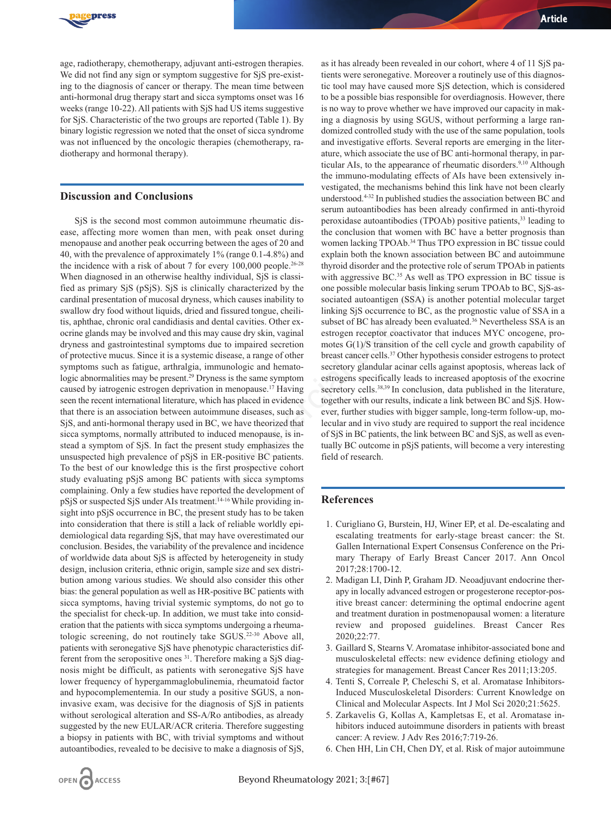

age, radiotherapy, chemotherapy, adjuvant anti-estrogen therapies. We did not find any sign or symptom suggestive for SiS pre-existing to the diagnosis of cancer or therapy. The mean time between anti-hormonal drug therapy start and sicca symptoms onset was 16 weeks (range 10-22). All patients with SjS had US items suggestive for SjS. Characteristic of the two groups are reported (Table 1). By binary logistic regression we noted that the onset of sicca syndrome was not influenced by the oncologic therapies (chemotherapy, radiotherapy and hormonal therapy).

## **Discussion and Conclusions**

SjS is the second most common autoimmune rheumatic disease, affecting more women than men, with peak onset during menopause and another peak occurring between the ages of 20 and 40, with the prevalence of approximately 1% (range 0.1-4.8%) and the incidence with a risk of about 7 for every  $100,000$  people.<sup>26-28</sup> When diagnosed in an otherwise healthy individual, SjS is classified as primary SjS (pSjS). SjS is clinically characterized by the cardinal presentation of mucosal dryness, which causes inability to swallow dry food without liquids, dried and fissured tongue, cheilitis, aphthae, chronic oral candidiasis and dental cavities. Other exocrine glands may be involved and this may cause dry skin, vaginal dryness and gastrointestinal symptoms due to impaired secretion of protective mucus. Since it is a systemic disease, a range of other symptoms such as fatigue, arthralgia, immunologic and hematologic abnormalities may be present.29 Dryness is the same symptom caused by iatrogenic estrogen deprivation in menopause.17 Having seen the recent international literature, which has placed in evidence that there is an association between autoimmune diseases, such as SjS, and anti-hormonal therapy used in BC, we have theorized that sicca symptoms, normally attributed to induced menopause, is instead a symptom of SjS. In fact the present study emphasizes the unsuspected high prevalence of pSjS in ER-positive BC patients. To the best of our knowledge this is the first prospective cohort study evaluating pSjS among BC patients with sicca symptoms complaining. Only a few studies have reported the development of pSjS or suspected SjS under AIs treatment.14-16While providing insight into pSjS occurrence in BC, the present study has to be taken into consideration that there is still a lack of reliable worldly epidemiological data regarding SjS, that may have overestimated our conclusion. Besides, the variability of the prevalence and incidence of worldwide data about SjS is affected by heterogeneity in study design, inclusion criteria, ethnic origin, sample size and sex distribution among various studies. We should also consider this other bias: the general population as well as HR-positive BC patients with sicca symptoms, having trivial systemic symptoms, do not go to the specialist for check-up. In addition, we must take into consideration that the patients with sicca symptoms undergoing a rheumatologic screening, do not routinely take SGUS.22-30 Above all, patients with seronegative SjS have phenotypic characteristics different from the seropositive ones 31. Therefore making a SjS diagnosis might be difficult, as patients with seronegative SjS have lower frequency of hypergammaglobulinemia, rheumatoid factor and hypocomplementemia. In our study a positive SGUS, a noninvasive exam, was decisive for the diagnosis of SjS in patients without serological alteration and SS-A/Ro antibodies, as already suggested by the new EULAR/ACR criteria. Therefore suggesting a biopsy in patients with BC, with trivial symptoms and without autoantibodies, revealed to be decisive to make a diagnosis of SjS, 1 about 7 for every 100,000 peope.<sup>246-8</sup> thrond disorder and the protecture rold<br>Firstight and the protecture of the protecture of the protecture of the protecture of the protecture of the protecture of SS is clinically

as it has already been revealed in our cohort, where 4 of 11 SjS patients were seronegative. Moreover a routinely use of this diagnostic tool may have caused more SjS detection, which is considered to be a possible bias responsible for overdiagnosis. However, there is no way to prove whether we have improved our capacity in making a diagnosis by using SGUS, without performing a large randomized controlled study with the use of the same population, tools and investigative efforts. Several reports are emerging in the literature, which associate the use of BC anti-hormonal therapy, in particular AIs, to the appearance of rheumatic disorders.<sup>9,10</sup> Although the immuno-modulating effects of AIs have been extensively investigated, the mechanisms behind this link have not been clearly understood.4-32 In published studies the association between BC and serum autoantibodies has been already confirmed in anti-thyroid peroxidase autoantibodies (TPOAb) positive patients,<sup>33</sup> leading to the conclusion that women with BC have a better prognosis than women lacking TPOAb.<sup>34</sup> Thus TPO expression in BC tissue could explain both the known association between BC and autoimmune thyroid disorder and the protective role of serum TPOAb in patients with aggressive BC.<sup>35</sup> As well as TPO expression in BC tissue is one possible molecular basis linking serum TPOAb to BC, SjS-associated autoantigen (SSA) is another potential molecular target linking SjS occurrence to BC, as the prognostic value of SSA in a subset of BC has already been evaluated.<sup>36</sup> Nevertheless SSA is an estrogen receptor coactivator that induces MYC oncogene, promotes G(1)/S transition of the cell cycle and growth capability of breast cancer cells.37 Other hypothesis consider estrogens to protect secretory glandular acinar cells against apoptosis, whereas lack of estrogens specifically leads to increased apoptosis of the exocrine secretory cells.<sup>38,39</sup> In conclusion, data published in the literature, together with our results, indicate a link between BC and SjS. However, further studies with bigger sample, long-term follow-up, molecular and in vivo study are required to support the real incidence of SjS in BC patients, the link between BC and SjS, as well as eventually BC outcome in pSjS patients, will become a very interesting field of research.

## **References**

- 1. Curigliano G, Burstein, HJ, Winer EP, et al. De-escalating and escalating treatments for early-stage breast cancer: the St. Gallen International Expert Consensus Conference on the Primary Therapy of Early Breast Cancer 2017. Ann Oncol 2017;28:1700-12.
- 2. Madigan LI, Dinh P, Graham JD. Neoadjuvant endocrine therapy in locally advanced estrogen or progesterone receptor-positive breast cancer: determining the optimal endocrine agent and treatment duration in postmenopausal women: a literature review and proposed guidelines. Breast Cancer Res 2020;22:77.
- 3. Gaillard S, Stearns V. Aromatase inhibitor-associated bone and musculoskeletal effects: new evidence defining etiology and strategies for management. Breast Cancer Res 2011;13:205.
- 4. Tenti S, Correale P, Cheleschi S, et al. Aromatase Inhibitors-Induced Musculoskeletal Disorders: Current Knowledge on Clinical and Molecular Aspects. Int J Mol Sci 2020;21:5625.
- 5. Zarkavelis G, Kollas A, Kampletsas E, et al. Aromatase inhibitors induced autoimmune disorders in patients with breast cancer: A review. J Adv Res 2016;7:719-26.
- 6. Chen HH, Lin CH, Chen DY, et al. Risk of major autoimmune